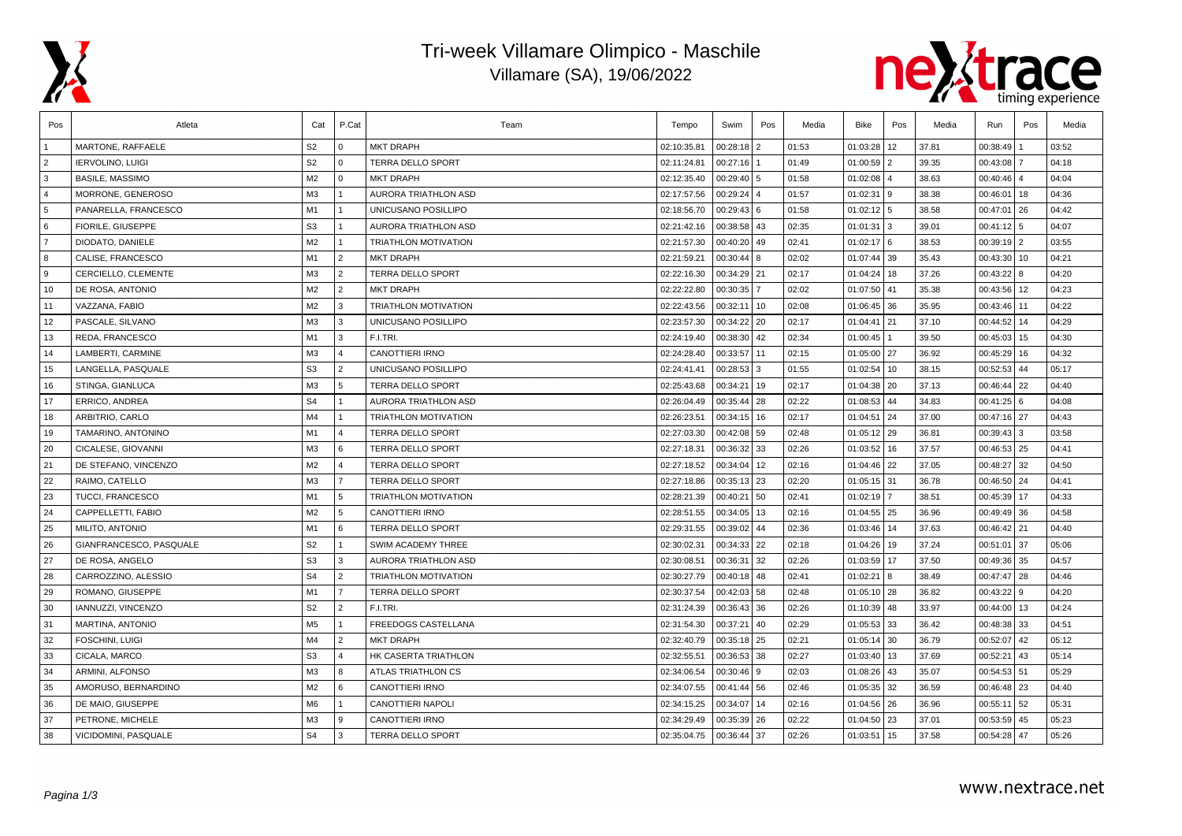

## Tri-week Villamare Olimpico - Maschile Villamare (SA), 19/06/2022



| Pos            | Atleta                    | Cat            | P.Cat                   | Team                        | Tempo       | Swim           | Pos          | Media | Bike          | Pos            | Media | Run             | Pos            | Media |
|----------------|---------------------------|----------------|-------------------------|-----------------------------|-------------|----------------|--------------|-------|---------------|----------------|-------|-----------------|----------------|-------|
|                | MARTONE, RAFFAELE         | S <sub>2</sub> | $\Omega$                | <b>MKT DRAPH</b>            | 02:10:35.81 | $00:28:18$   2 |              | 01:53 | 01:03:28      | 12             | 37.81 | 00:38:49        |                | 03:52 |
| $\overline{2}$ | <b>IERVOLINO, LUIGI</b>   | S <sub>2</sub> | $\Omega$                | <b>TERRA DELLO SPORT</b>    | 02:11:24.81 | 00:27:16       |              | 01:49 | 01:00:59 2    |                | 39.35 | 00:43:08        | $\overline{7}$ | 04:18 |
| 3              | <b>BASILE, MASSIMO</b>    | M <sub>2</sub> | $\Omega$                | <b>MKT DRAPH</b>            | 02:12:35.40 | $00:29:40$ 5   |              | 01:58 | $01:02:08$ 4  |                | 38.63 | 00:40:46        | $\overline{4}$ | 04:04 |
| $\overline{4}$ | MORRONE, GENEROSO         | M <sub>3</sub> |                         | <b>AURORA TRIATHLON ASD</b> | 02:17:57.56 | $00:29:24$ 4   |              | 01:57 | 01:02:31      | l 9            | 38.38 | 00:46:01        | 18             | 04:36 |
| 5              | PANARELLA, FRANCESCO      | M1             |                         | UNICUSANO POSILLIPO         | 02:18:56.70 | $00:29:43$ 6   |              | 01:58 | $01:02:12$ 5  |                | 38.58 | 00:47:01        | 26             | 04:42 |
| 6              | <b>FIORILE, GIUSEPPE</b>  | S <sub>3</sub> | 1                       | <b>AURORA TRIATHLON ASD</b> | 02:21:42.16 | 00:38:58 43    |              | 02:35 | 01:01:31      | l 3            | 39.01 | 00:41:12        | 5              | 04:07 |
| $\overline{7}$ | DIODATO, DANIELE          | M <sub>2</sub> | $\overline{1}$          | <b>TRIATHLON MOTIVATION</b> | 02:21:57.30 | 00:40:20 49    |              | 02:41 | $01:02:17$ 6  |                | 38.53 | $00:39:19$   2  |                | 03:55 |
| 8              | CALISE, FRANCESCO         | M1             | 2                       | <b>MKT DRAPH</b>            | 02:21:59.21 | $00:30:44$ 8   |              | 02:02 | 01:07:44 39   |                | 35.43 | 00:43:30        | 10             | 04:21 |
| 9              | CERCIELLO, CLEMENTE       | M <sub>3</sub> | 2                       | <b>TERRA DELLO SPORT</b>    | 02:22:16.30 | 00:34:29 21    |              | 02:17 | 01:04:24      | 18             | 37.26 | 00:43:22        | l 8            | 04:20 |
| 10             | DE ROSA, ANTONIO          | M <sub>2</sub> | 2                       | <b>MKT DRAPH</b>            | 02:22:22.80 | 00:30:35       |              | 02:02 | 01:07:50      | 41             | 35.38 | 00:43:56        | 12             | 04:23 |
| 11             | VAZZANA, FABIO            | M <sub>2</sub> | 3                       | <b>TRIATHLON MOTIVATION</b> | 02:22:43.56 | 00:32:11       | 10           | 02:08 | 01:06:45 36   |                | 35.95 | $00:43:46$ 11   |                | 04:22 |
| 12             | PASCALE, SILVANO          | M3             | $\mathbf{3}$            | UNICUSANO POSILLIPO         | 02:23:57.30 | 00:34:22 20    |              | 02:17 | 01:04:41      | 21             | 37.10 | 00:44:52        | 14             | 04:29 |
| 13             | REDA, FRANCESCO           | M1             | 3                       | F.I.TRI.                    | 02:24:19.40 | 00:38:30 42    |              | 02:34 | 01:00:45      |                | 39.50 | 00:45:03        | 15             | 04:30 |
| 14             | LAMBERTI, CARMINE         | M <sub>3</sub> | $\overline{\mathbf{A}}$ | <b>CANOTTIERI IRNO</b>      | 02:24:28.40 | 00:33:57 11    |              | 02:15 | 01:05:00 27   |                | 36.92 | 00:45:29        | 16             | 04:32 |
| 15             | LANGELLA, PASQUALE        | S <sub>3</sub> | 2                       | UNICUSANO POSILLIPO         | 02:24:41.41 | $00:28:53$ 3   |              | 01:55 | 01:02:54      | 10             | 38.15 | 00:52:53        | 44             | 05:17 |
| 16             | STINGA, GIANLUCA          | M3             | $\overline{5}$          | <b>TERRA DELLO SPORT</b>    | 02:25:43.68 | 00:34:21   19  |              | 02:17 | 01:04:38 20   |                | 37.13 | $00:46:44$   22 |                | 04:40 |
| 17             | ERRICO, ANDREA            | S <sub>4</sub> | 1                       | AURORA TRIATHLON ASD        | 02:26:04.49 | 00:35:44 28    |              | 02:22 | 01:08:53 44   |                | 34.83 | 00:41:25        | l 6            | 04:08 |
| 18             | ARBITRIO, CARLO           | M <sub>4</sub> |                         | TRIATHLON MOTIVATION        | 02:26:23.51 | 00:34:15 16    |              | 02:17 | 01:04:51      | 24             | 37.00 | $00:47:16$ 27   |                | 04:43 |
| 19             | TAMARINO, ANTONINO        | M1             | $\overline{\mathbf{A}}$ | TERRA DELLO SPORT           | 02:27:03.30 | 00:42:08 59    |              | 02:48 | 01:05:12      | 29             | 36.81 | 00:39:43        | l 3            | 03:58 |
| 20             | CICALESE, GIOVANNI        | M <sub>3</sub> | 6                       | <b>TERRA DELLO SPORT</b>    | 02:27:18.31 | 00:36:32 33    |              | 02:26 | 01:03:52      | 16             | 37.57 | $00:46:53$ 25   |                | 04:41 |
| 21             | DE STEFANO, VINCENZO      | M <sub>2</sub> | $\overline{\mathbf{A}}$ | <b>TERRA DELLO SPORT</b>    | 02:27:18.52 | 00:34:04 12    |              | 02:16 | 01:04:46 22   |                | 37.05 | 00:48:27        | 32             | 04:50 |
| 22             | RAIMO, CATELLO            | M3             | $\overline{7}$          | <b>TERRA DELLO SPORT</b>    | 02:27:18.86 | 00:35:13 23    |              | 02:20 | $01:05:15$ 31 |                | 36.78 | 00:46:50        | 24             | 04:41 |
| 23             | <b>TUCCI, FRANCESCO</b>   | M1             | 5                       | <b>TRIATHLON MOTIVATION</b> | 02:28:21.39 | 00:40:21       | 50           | 02:41 | 01:02:19      | $\overline{7}$ | 38.51 | 00:45:39        | 17             | 04:33 |
| 24             | CAPPELLETTI, FABIO        | M <sub>2</sub> | 5                       | CANOTTIERI IRNO             | 02:28:51.55 | 00:34:05   13  |              | 02:16 | 01:04:55 25   |                | 36.96 | 00:49:49        | 36             | 04:58 |
| 25             | MILITO, ANTONIO           | M1             | 6                       | <b>TERRA DELLO SPORT</b>    | 02:29:31.55 | 00:39:02 44    |              | 02:36 | 01:03:46      | 14             | 37.63 | $00:46:42$ 21   |                | 04:40 |
| 26             | GIANFRANCESCO, PASQUALE   | S <sub>2</sub> | 1                       | SWIM ACADEMY THREE          | 02:30:02.31 | 00:34:33 22    |              | 02:18 | 01:04:26      | 19             | 37.24 | 00:51:01        | 37             | 05:06 |
| 27             | DE ROSA, ANGELO           | S <sub>3</sub> | 3                       | AURORA TRIATHLON ASD        | 02:30:08.51 | 00:36:31 32    |              | 02:26 | 01:03:59      | 17             | 37.50 | $00:49:36$ 35   |                | 04:57 |
| 28             | CARROZZINO, ALESSIO       | S <sub>4</sub> | 2                       | TRIATHLON MOTIVATION        | 02:30:27.79 | $00:40:18$ 48  |              | 02:41 | 01:02:21      | 8              | 38.49 | 00:47:47        | 28             | 04:46 |
| 29             | ROMANO, GIUSEPPE          | M1             | $\overline{7}$          | <b>TERRA DELLO SPORT</b>    | 02:30:37.54 | 00:42:03 58    |              | 02:48 | 01:05:10 28   |                | 36.82 | $00:43:22$ 9    |                | 04:20 |
| 30             | <b>IANNUZZI, VINCENZO</b> | S <sub>2</sub> | 2                       | F.I.TRI.                    | 02:31:24.39 | 00:36:43 36    |              | 02:26 | $01:10:39$ 48 |                | 33.97 | $00:44:00$ 13   |                | 04:24 |
| 31             | MARTINA, ANTONIO          | M5             | $\mathbf{1}$            | FREEDOGS CASTELLANA         | 02:31:54.30 | 00:37:21       | $ 40\rangle$ | 02:29 | 01:05:53 33   |                | 36.42 | 00:48:38        | 33             | 04:51 |
| 32             | <b>FOSCHINI, LUIGI</b>    | M <sub>4</sub> | $\overline{2}$          | <b>MKT DRAPH</b>            | 02:32:40.79 | 00:35:18 25    |              | 02:21 | 01:05:14      | 30             | 36.79 | 00:52:07        | 42             | 05:12 |
| 33             | CICALA, MARCO             | S <sub>3</sub> | 4                       | HK CASERTA TRIATHLON        | 02:32:55.51 | 00:36:53 38    |              | 02:27 | 01:03:40      | 13             | 37.69 | 00:52:21        | 43             | 05:14 |
| 34             | ARMINI, ALFONSO           | M <sub>3</sub> | 8                       | ATLAS TRIATHLON CS          | 02:34:06.54 | $00:30:46$ 9   |              | 02:03 | 01:08:26      | 43             | 35.07 | 00:54:53 51     |                | 05:29 |
| 35             | AMORUSO, BERNARDINO       | M <sub>2</sub> | 6                       | CANOTTIERI IRNO             | 02:34:07.55 | 00:41:44 56    |              | 02:46 | 01:05:35 32   |                | 36.59 | $00:46:48$ 23   |                | 04:40 |
| 36             | DE MAIO, GIUSEPPE         | M6             | 1                       | CANOTTIERI NAPOLI           | 02:34:15.25 | 00:34:07 14    |              | 02:16 | $01:04:56$ 26 |                | 36.96 | $00:55:11$ 52   |                | 05:31 |
| 37             | PETRONE, MICHELE          | M <sub>3</sub> | 9                       | CANOTTIERI IRNO             | 02:34:29.49 | $00:35:39$ 26  |              | 02:22 | 01:04:50      | 23             | 37.01 | 00:53:59        | 45             | 05:23 |
| 38             | VICIDOMINI, PASQUALE      | S <sub>4</sub> | 3                       | TERRA DELLO SPORT           | 02:35:04.75 | 00:36:44       | 37           | 02:26 | 01:03:51      | 15             | 37.58 | 00:54:28        | 47             | 05:26 |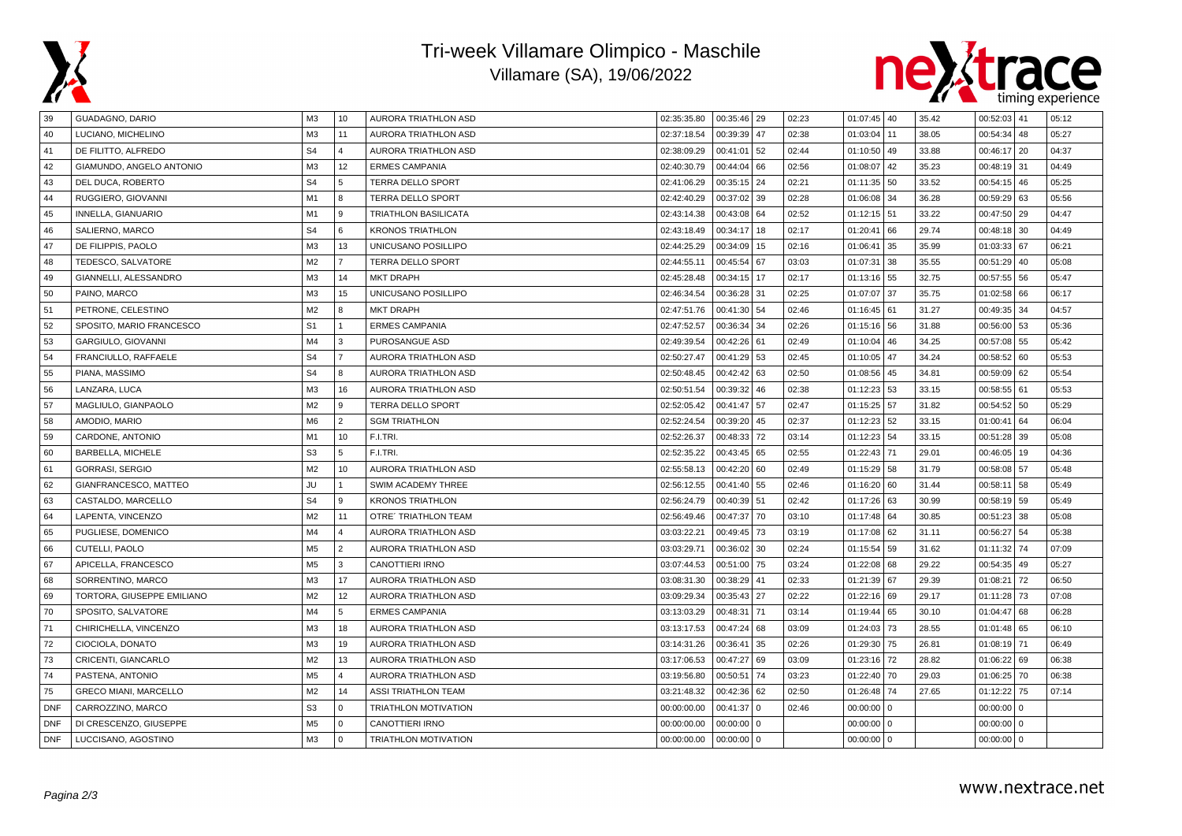

## Tri-week Villamare Olimpico - Maschile Villamare (SA), 19/06/2022



| 39         | GUADAGNO, DARIO              | ΜЗ             | 10             | <b>AURORA TRIATHLON ASD</b> | 02:35:35.80 | 00:35:46   29 |          | 02:23 | 01:07:45 40   |             | 35.42 | 00:52:03 41     | 05:12 |
|------------|------------------------------|----------------|----------------|-----------------------------|-------------|---------------|----------|-------|---------------|-------------|-------|-----------------|-------|
| 40         | LUCIANO, MICHELINO           | M <sub>3</sub> | 11             | AURORA TRIATHLON ASD        | 02:37:18.54 | 00:39:39      | 47       | 02:38 | 01:03:04      | 11          | 38.05 | $00:54:34$ 48   | 05:27 |
| 41         | DE FILITTO, ALFREDO          | S <sub>4</sub> | 4              | AURORA TRIATHLON ASD        | 02:38:09.29 | 00:41:01      | 52       | 02:44 | 01:10:50      | 49          | 33.88 | 00:46:17   20   | 04:37 |
| 42         | GIAMUNDO, ANGELO ANTONIO     | M <sub>3</sub> | 12             | <b>ERMES CAMPANIA</b>       | 02:40:30.79 | 00:44:04      | 66       | 02:56 | 01:08:07      | 42          | 35.23 | $00:48:19$ 31   | 04:49 |
| 43         | DEL DUCA, ROBERTO            | S <sub>4</sub> | 5              | <b>TERRA DELLO SPORT</b>    | 02:41:06.29 | 00:35:15      | 24       | 02:21 | 01:11:35 50   |             | 33.52 | $00:54:15$ 46   | 05:25 |
| 44         | RUGGIERO, GIOVANNI           | M1             | 8              | TERRA DELLO SPORT           | 02:42:40.29 | 00:37:02      | 39       | 02:28 | 01:06:08      | 34          | 36.28 | $00:59:29$ 63   | 05:56 |
| 45         | INNELLA, GIANUARIO           | M1             | $\mathbf{q}$   | <b>TRIATHLON BASILICATA</b> | 02:43:14.38 | 00:43:08      | 64       | 02:52 | $01:12:15$ 51 |             | 33.22 | 00:47:50 29     | 04:47 |
| 46         | SALIERNO, MARCO              | S <sub>4</sub> | 6              | <b>KRONOS TRIATHLON</b>     | 02:43:18.49 | 00:34:17      | 18       | 02:17 | 01:20:41      | 66          | 29.74 | 00:48:18 30     | 04:49 |
| 47         | DE FILIPPIS, PAOLO           | M <sub>3</sub> | 13             | UNICUSANO POSILLIPO         | 02:44:25.29 | 00:34:09      | 15       | 02:16 | 01:06:41 35   |             | 35.99 | $01:03:33$ 67   | 06:21 |
| 48         | TEDESCO, SALVATORE           | M <sub>2</sub> | $\overline{7}$ | TERRA DELLO SPORT           | 02:44:55.11 | 00:45:54      | 67       | 03:03 | 01:07:31      | 38          | 35.55 | $00:51:29$ 40   | 05:08 |
| 49         | GIANNELLI, ALESSANDRO        | M <sub>3</sub> | 14             | <b>MKT DRAPH</b>            | 02:45:28.48 | 00:34:15      | 17       | 02:17 | $01:13:16$ 55 |             | 32.75 | 00:57:55 56     | 05:47 |
| 50         | PAINO, MARCO                 | M3             | 15             | UNICUSANO POSILLIPO         | 02:46:34.54 | 00:36:28      | 31       | 02:25 | 01:07:07      | 37          | 35.75 | $01:02:58$ 66   | 06:17 |
| 51         | PETRONE, CELESTINO           | M <sub>2</sub> | R              | <b>MKT DRAPH</b>            | 02:47:51.76 | 00:41:30      | 54       | 02:46 | 01:16:45 61   |             | 31.27 | 00:49:35 34     | 04:57 |
| 52         | SPOSITO, MARIO FRANCESCO     | S <sub>1</sub> | $\mathbf{1}$   | <b>ERMES CAMPANIA</b>       | 02:47:52.57 | 00:36:34      | 34       | 02:26 | 01:15:16 56   |             | 31.88 | 00:56:00 53     | 05:36 |
| 53         | GARGIULO, GIOVANNI           | M <sub>4</sub> | 3              | PUROSANGUE ASD              | 02:49:39.54 | 00:42:26      | 61       | 02:49 | 01:10:04      | 46          | 34.25 | 00:57:08 55     | 05:42 |
| 54         | FRANCIULLO, RAFFAELE         | S <sub>4</sub> | $\overline{7}$ | AURORA TRIATHLON ASD        | 02:50:27.47 | 00:41:29      | 53       | 02:45 | 01:10:05      | 47          | 34.24 | $00:58:52$ 60   | 05:53 |
| 55         | PIANA, MASSIMO               | S <sub>4</sub> | R              | AURORA TRIATHLON ASD        | 02:50:48.45 | 00:42:42      | 63       | 02:50 | 01:08:56 45   |             | 34.81 | $00:59:09$ 62   | 05:54 |
| 56         | LANZARA, LUCA                | M <sub>3</sub> | 16             | AURORA TRIATHLON ASD        | 02:50:51.54 | 00:39:32      | 46       | 02:38 | 01:12:23 53   |             | 33.15 | 00:58:55 61     | 05:53 |
| 57         | MAGLIULO, GIANPAOLO          | M <sub>2</sub> | $\mathbf{Q}$   | <b>TERRA DELLO SPORT</b>    | 02:52:05.42 | 00:41:47      | 57       | 02:47 | 01:15:25 57   |             | 31.82 | $00:54:52$ 50   | 05:29 |
| 58         | AMODIO, MARIO                | M <sub>6</sub> | $\overline{2}$ | <b>SGM TRIATHLON</b>        | 02:52:24.54 | 00:39:20      | 45       | 02:37 | 01:12:23      | 52          | 33.15 | $01:00:41$ 64   | 06:04 |
| 59         | CARDONE, ANTONIO             | M1             | 10             | F.I.TRI.                    | 02:52:26.37 | 00:48:33      | 72       | 03:14 | 01:12:23      | 54          | 33.15 | 00:51:28 39     | 05:08 |
| 60         | BARBELLA, MICHELE            | S <sub>3</sub> | 5              | F.I.TRI.                    | 02:52:35.22 | 00:43:45      | 65       | 02:55 | 01:22:43 71   |             | 29.01 | $00:46:05$   19 | 04:36 |
| 61         | <b>GORRASI, SERGIO</b>       | M <sub>2</sub> | 10             | AURORA TRIATHLON ASD        | 02:55:58.13 | 00:42:20      | 60       | 02:49 | 01:15:29 58   |             | 31.79 | 00:58:08 57     | 05:48 |
| 62         | GIANFRANCESCO, MATTEO        | JU             | $\mathbf{1}$   | SWIM ACADEMY THREE          | 02:56:12.55 | 00:41:40      | 55       | 02:46 | 01:16:20      | 60          | 31.44 | 00:58:11 58     | 05:49 |
| 63         | CASTALDO, MARCELLO           | S <sub>4</sub> | 9              | <b>KRONOS TRIATHLON</b>     | 02:56:24.79 | 00:40:39      | 51       | 02:42 | 01:17:26 63   |             | 30.99 | 00:58:19 59     | 05:49 |
| 64         | LAPENTA, VINCENZO            | M <sub>2</sub> | 11             | <b>OTRE' TRIATHLON TEAM</b> | 02:56:49.46 | 00:47:37      | 70       | 03:10 | 01:17:48 64   |             | 30.85 | $00:51:23$ 38   | 05:08 |
| 65         | PUGLIESE, DOMENICO           | M <sub>4</sub> | $\Delta$       | AURORA TRIATHLON ASD        | 03:03:22.21 | 00:49:45      | 73       | 03:19 | 01:17:08 62   |             | 31.11 | 54<br>00:56:27  | 05:38 |
| 66         | CUTELLI, PAOLO               | M <sub>5</sub> | $\overline{2}$ | AURORA TRIATHLON ASD        | 03:03:29.71 | 00:36:02      | 30       | 02:24 | 01:15:54      | 59          | 31.62 | 01:11:32 74     | 07:09 |
| 67         | APICELLA, FRANCESCO          | M <sub>5</sub> | 3              | CANOTTIERI IRNO             | 03:07:44.53 | 00:51:00      | 75       | 03:24 | 01:22:08      | 68          | 29.22 | 00:54:35 49     | 05:27 |
| 68         | SORRENTINO, MARCO            | M <sub>3</sub> | 17             | AURORA TRIATHLON ASD        | 03:08:31.30 | 00:38:29      | 41       | 02:33 | 01:21:39 67   |             | 29.39 | $01:08:21$ 72   | 06:50 |
| 69         | TORTORA, GIUSEPPE EMILIANO   | M <sub>2</sub> | 12             | AURORA TRIATHLON ASD        | 03:09:29.34 | 00:35:43      | 27       | 02:22 | 01:22:16 69   |             | 29.17 | $01:11:28$ 73   | 07:08 |
| 70         | SPOSITO, SALVATORE           | M <sub>4</sub> | 5              | <b>ERMES CAMPANIA</b>       | 03:13:03.29 | 00:48:31      | 71       | 03:14 | 01:19:44      | 65          | 30.10 | $01:04:47$ 68   | 06:28 |
| 71         | CHIRICHELLA, VINCENZO        | M <sub>3</sub> | 18             | AURORA TRIATHLON ASD        | 03:13:17.53 | 00:47:24      | 68       | 03:09 | 01:24:03 73   |             | 28.55 | $01:01:48$ 65   | 06:10 |
| 72         | CIOCIOLA, DONATO             | M3             | 19             | AURORA TRIATHLON ASD        | 03:14:31.26 | 00:36:41      | 35       | 02:26 | 01:29:30 75   |             | 26.81 | 01:08:19 71     | 06:49 |
| 73         | CRICENTI, GIANCARLO          | M <sub>2</sub> | 13             | AURORA TRIATHLON ASD        | 03:17:06.53 | 00:47:27      | 69       | 03:09 | 01:23:16 72   |             | 28.82 | $01:06:22$ 69   | 06:38 |
| 74         | PASTENA, ANTONIO             | M <sub>5</sub> | $\overline{4}$ | AURORA TRIATHLON ASD        | 03:19:56.80 | 00:50:51      | 74       | 03:23 | 01:22:40      | 70          | 29.03 | 01:06:25 70     | 06:38 |
| 75         | <b>GRECO MIANI, MARCELLO</b> | M <sub>2</sub> | 14             | <b>ASSI TRIATHLON TEAM</b>  | 03:21:48.32 | 00:42:36      | 62       | 02:50 | 01:26:48      | 74          | 27.65 | 01:12:22 75     | 07:14 |
| <b>DNF</b> | CARROZZINO, MARCO            | S <sub>3</sub> | $\Omega$       | TRIATHLON MOTIVATION        | 00:00:00.00 | 00:41:37      | $\Omega$ | 02:46 | $00:00:00$ 0  |             |       | $00:00:00$ 0    |       |
| <b>DNF</b> | DI CRESCENZO, GIUSEPPE       | M <sub>5</sub> | $\mathbf 0$    | CANOTTIERI IRNO             | 00:00:00.00 | 00:00:00      | $\Omega$ |       | 00:00:00      | $\mathbf 0$ |       | $00:00:00$ 0    |       |
| <b>DNF</b> | LUCCISANO, AGOSTINO          | M <sub>3</sub> | $\Omega$       | <b>TRIATHLON MOTIVATION</b> | 00:00:00.00 | $00:00:00$ 0  |          |       | $00:00:00$ 0  |             |       | $00:00:00$ 0    |       |